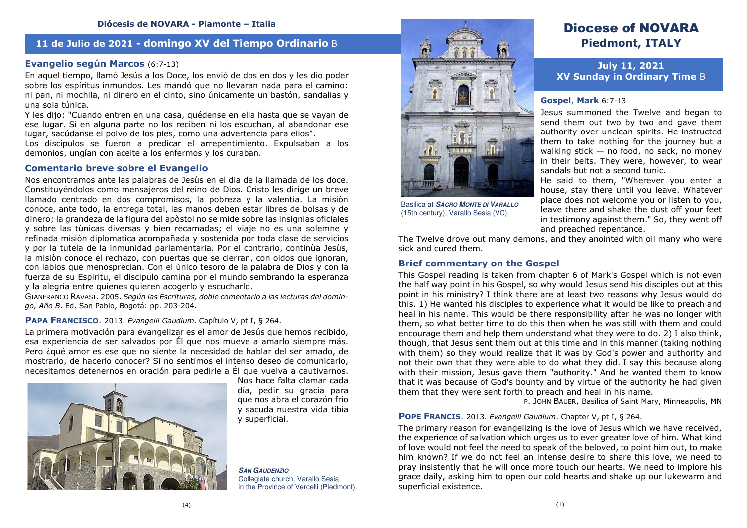# **11 de Julio de 2021 - domingo XV del Tiempo Ordinario** B

# **Evangelio según Marcos** (6:7-13)

En aquel tiempo, llamó Jesús a los Doce, los envió de dos en dos y les dio poder sobre los espíritus inmundos. Les mandó que no llevaran nada para el camino: ni pan, ni mochila, ni dinero en el cinto, sino únicamente un bastón, sandalias y una sola túnica.

 Y les dijo: "Cuando entren en una casa, quédense en ella hasta que se vayan de ese lugar. Si en alguna parte no los reciben ni los escuchan, al abandonar ese lugar, sacúdanse el polvo de los pies, como una advertencia para ellos".

 Los discípulos se fueron a predicar el arrepentimiento. Expulsaban a los demonios, ungían con aceite a los enfermos y los curaban.

### **Comentario breve sobre el Evangelio**

Nos encontramos ante las palabras de Jesùs en el dia de la llamada de los doce. Constituyéndolos como mensajeros del reino de Dios. Cristo les dirige un breve llamado centrado en dos compromisos, la pobreza y la valentia. La misiòn conoce, ante todo, la entrega total, las manos deben estar libres de bolsas y de dinero; la grandeza de la figura del apòstol no se mide sobre las insignias oficiales y sobre las tùnicas diversas y bien recamadas; el viaje no es una solemne y refinada misiòn diplomatica acompañada y sostenida por toda clase de servicios y por la tutela de la inmunidad parlamentaria. Por el contrario, continùa Jesùs, la misiòn conoce el rechazo, con puertas que se cierran, con oidos que ignoran, con labios que menosprecian. Con el ùnico tesoro de la palabra de Dios y con la fuerza de su Espiritu, el discipulo camina por el mundo sembrando la esperanza y la alegria entre quienes quieren acogerlo y escucharlo.

 GIANFRANCO RAVASI. 2005. *Según las Escrituras, doble comentario a las lecturas del domingo, Año B*. Ed. San Pablo, Bogotá: pp. 203-204.

### **PAPA FRANCISCO**. 2013. *Evangelii Gaudium*. Capítulo V, pt I, § 264.

 La primera motivación para evangelizar es el amor de Jesús que hemos recibido, esa experiencia de ser salvados por Él que nos mueve a amarlo siempre más. Pero ¿qué amor es ese que no siente la necesidad de hablar del ser amado, de mostrarlo, de hacerlo conocer? Si no sentimos el intenso deseo de comunicarlo, necesitamos detenernos en oración para pedirle a Él que vuelva a cautivarnos.



 Nos hace falta clamar cada día, pedir su gracia para que nos abra el corazón frío y sacuda nuestra vida tibia y superficial.

**SAN GAUDENZIO** Collegiate church, Varallo Sesia in the Province of Vercelli (Piedmont).



Basilica at **SACRO MONTE DI VARALLO**(15th century), Varallo Sesia (VC).

# Diocese of NOVARA **Piedmont, ITALY**

**July 11, 2021 XV Sunday in Ordinary Time** B

# **Gospel**, **Mark** 6:7-13

Jesus summoned the Twelve and began to send them out two by two and gave them authority over unclean spirits. He instructed them to take nothing for the journey but a walking stick — no food, no sack, no money in their belts. They were, however, to wear sandals but not a second tunic.

 He said to them, "Wherever you enter a house, stay there until you leave. Whatever place does not welcome you or listen to you, leave there and shake the dust off your feet in testimony against them." So, they went off and preached repentance.

 The Twelve drove out many demons, and they anointed with oil many who were sick and cured them.

### **Brief commentary on the Gospel**

This Gospel reading is taken from chapter 6 of Mark's Gospel which is not even the half way point in his Gospel, so why would Jesus send his disciples out at this point in his ministry? I think there are at least two reasons why Jesus would do this. 1) He wanted his disciples to experience what it would be like to preach and heal in his name. This would be there responsibility after he was no longer with them, so what better time to do this then when he was still with them and could encourage them and help them understand what they were to do. 2) I also think, though, that Jesus sent them out at this time and in this manner (taking nothing with them) so they would realize that it was by God's power and authority and not their own that they were able to do what they did. I say this because along with their mission, Jesus gave them "authority." And he wanted them to know that it was because of God's bounty and by virtue of the authority he had given them that they were sent forth to preach and heal in his name.

P. JOHN BAUER, Basilica of Saint Mary, Minneapolis, MN

#### **POPE FRANCIS**. 2013. *Evangelii Gaudium*. Chapter V, pt I, § 264.

The primary reason for evangelizing is the love of Jesus which we have received, the experience of salvation which urges us to ever greater love of him. What kind of love would not feel the need to speak of the beloved, to point him out, to make him known? If we do not feel an intense desire to share this love, we need to pray insistently that he will once more touch our hearts. We need to implore his grace daily, asking him to open our cold hearts and shake up our lukewarm and superficial existence.